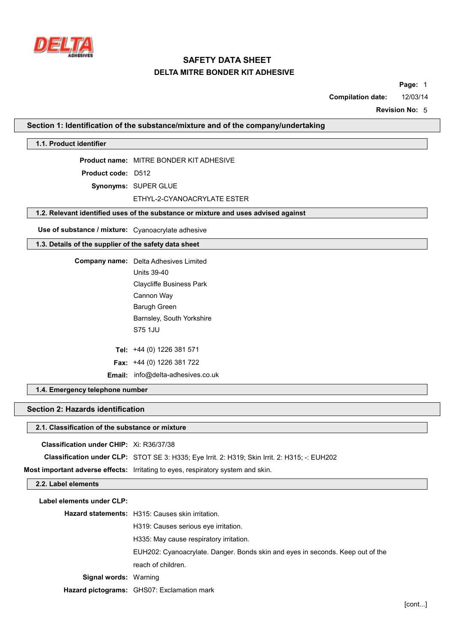

**Page:** 1

**Compilation date:** 12/03/14

**Revision No:** 5

### **Section 1: Identification of the substance/mixture and of the company/undertaking**

### **1.1. Product identifier**

**Product name:** MITRE BONDER KIT ADHESIVE

**Product code:** D512

**Synonyms:** SUPER GLUE

ETHYL-2-CYANOACRYLATE ESTER

# **1.2. Relevant identified uses of the substance or mixture and uses advised against**

**Use of substance / mixture:** Cyanoacrylate adhesive

# **1.3. Details of the supplier of the safety data sheet**

**Company name:** Delta Adhesives Limited Units 39-40

Claycliffe Business Park Cannon Way Barugh Green Barnsley, South Yorkshire S75 1JU

**Tel:** +44 (0) 1226 381 571

**Fax:** +44 (0) 1226 381 722

**Email:** info@delta-adhesives.co.uk

# **1.4. Emergency telephone number**

#### **Section 2: Hazards identification**

### **2.1. Classification of the substance or mixture**

**Classification under CHIP:** Xi: R36/37/38

**Classification under CLP:** STOT SE 3: H335; Eye Irrit. 2: H319; Skin Irrit. 2: H315; -: EUH202

**Most important adverse effects:** Irritating to eyes, respiratory system and skin.

#### **2.2. Label elements**

| Label elements under CLP:    |                                                                                |  |  |  |  |
|------------------------------|--------------------------------------------------------------------------------|--|--|--|--|
|                              | <b>Hazard statements:</b> H315: Causes skin irritation.                        |  |  |  |  |
|                              | H319: Causes serious eve irritation.                                           |  |  |  |  |
|                              | H335: May cause respiratory irritation.                                        |  |  |  |  |
|                              | EUH202: Cyanoacrylate. Danger. Bonds skin and eyes in seconds. Keep out of the |  |  |  |  |
|                              | reach of children.                                                             |  |  |  |  |
| <b>Signal words: Warning</b> |                                                                                |  |  |  |  |
|                              | <b>Hazard pictograms:</b> GHS07: Exclamation mark                              |  |  |  |  |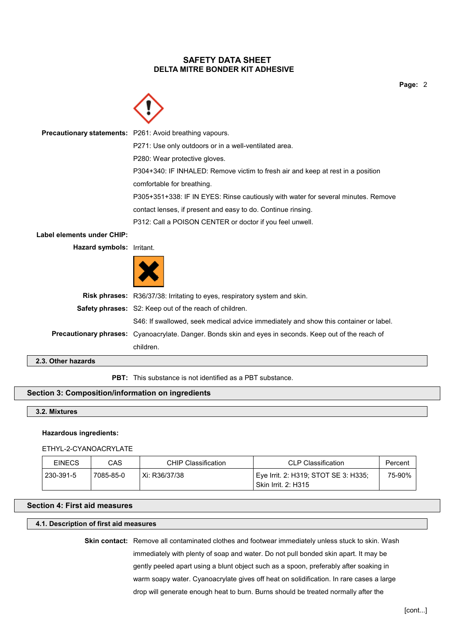**Page:** 2



**Precautionary statements:** P261: Avoid breathing vapours. P271: Use only outdoors or in a well-ventilated area. P280: Wear protective gloves. P304+340: IF INHALED: Remove victim to fresh air and keep at rest in a position comfortable for breathing. P305+351+338: IF IN EYES: Rinse cautiously with water for several minutes. Remove contact lenses, if present and easy to do. Continue rinsing. P312: Call a POISON CENTER or doctor if you feel unwell. **Label elements under CHIP:**

**Hazard symbols:** Irritant.



| لمامع دمالة متمالك |                                                                                                               |
|--------------------|---------------------------------------------------------------------------------------------------------------|
|                    | children.                                                                                                     |
|                    | <b>Precautionary phrases:</b> Cyanoacrylate. Danger. Bonds skin and eyes in seconds. Keep out of the reach of |
|                    | S46: If swallowed, seek medical advice immediately and show this container or label.                          |
|                    | <b>Safety phrases:</b> S2: Keep out of the reach of children.                                                 |
|                    | Risk phrases: R36/37/38: Irritating to eyes, respiratory system and skin.                                     |
|                    |                                                                                                               |

**2.3. Other hazards**

**PBT:** This substance is not identified as a PBT substance.

# **Section 3: Composition/information on ingredients**

**3.2. Mixtures**

# **Hazardous ingredients:**

#### ETHYL-2-CYANOACRYLATE

| <b>EINECS</b> | CAS       | CHIP Classification | CLP Classification                                                   | Percent |
|---------------|-----------|---------------------|----------------------------------------------------------------------|---------|
| 230-391-5     | 7085-85-0 | Xi: R36/37/38       | ' Eve Irrit. 2: H319; STOT SE 3: H335;<br><b>Skin Irrit. 2: H315</b> | 75-90%  |

# **Section 4: First aid measures**

### **4.1. Description of first aid measures**

**Skin contact:** Remove all contaminated clothes and footwear immediately unless stuck to skin. Wash immediately with plenty of soap and water. Do not pull bonded skin apart. It may be gently peeled apart using a blunt object such as a spoon, preferably after soaking in warm soapy water. Cyanoacrylate gives off heat on solidification. In rare cases a large drop will generate enough heat to burn. Burns should be treated normally after the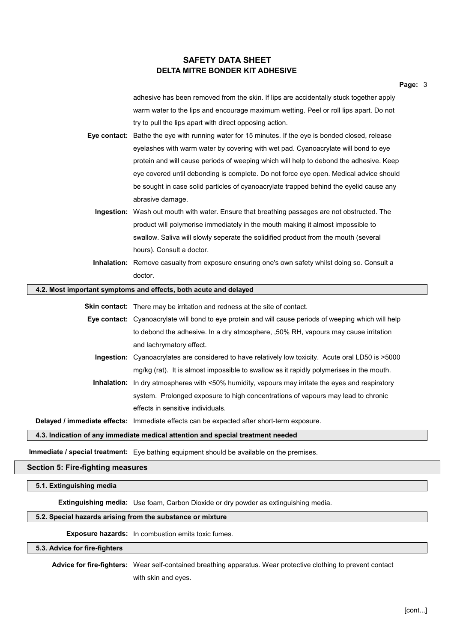adhesive has been removed from the skin. If lips are accidentally stuck together apply warm water to the lips and encourage maximum wetting. Peel or roll lips apart. Do not try to pull the lips apart with direct opposing action.

- **Eye contact:** Bathe the eye with running water for 15 minutes. If the eye is bonded closed, release eyelashes with warm water by covering with wet pad. Cyanoacrylate will bond to eye protein and will cause periods of weeping which will help to debond the adhesive. Keep eye covered until debonding is complete. Do not force eye open. Medical advice should be sought in case solid particles of cyanoacrylate trapped behind the eyelid cause any abrasive damage.
	- **Ingestion:** Wash out mouth with water. Ensure that breathing passages are not obstructed. The product will polymerise immediately in the mouth making it almost impossible to swallow. Saliva will slowly seperate the solidified product from the mouth (several hours). Consult a doctor.
	- **Inhalation:** Remove casualty from exposure ensuring one's own safety whilst doing so. Consult a doctor.

#### **4.2. Most important symptoms and effects, both acute and delayed**

**Skin contact:** There may be irritation and redness at the site of contact.

- **Eye contact:** Cyanoacrylate will bond to eye protein and will cause periods of weeping which will help to debond the adhesive. In a dry atmosphere, ,50% RH, vapours may cause irritation and lachrymatory effect.
	- **Ingestion:** Cyanoacrylates are considered to have relatively low toxicity. Acute oral LD50 is >5000 mg/kg (rat). It is almost impossible to swallow as it rapidly polymerises in the mouth.
	- **Inhalation:** In dry atmospheres with <50% humidity, vapours may irritate the eyes and respiratory system. Prolonged exposure to high concentrations of vapours may lead to chronic effects in sensitive individuals.

**Delayed / immediate effects:** Immediate effects can be expected after short-term exposure.

#### **4.3. Indication of any immediate medical attention and special treatment needed**

**Immediate / special treatment:** Eye bathing equipment should be available on the premises.

### **Section 5: Fire-fighting measures**

#### **5.1. Extinguishing media**

**Extinguishing media:** Use foam, Carbon Dioxide or dry powder as extinguishing media.

#### **5.2. Special hazards arising from the substance or mixture**

**Exposure hazards:** In combustion emits toxic fumes.

# **5.3. Advice for fire-fighters**

**Advice for fire-fighters:** Wear self-contained breathing apparatus. Wear protective clothing to prevent contact with skin and eyes.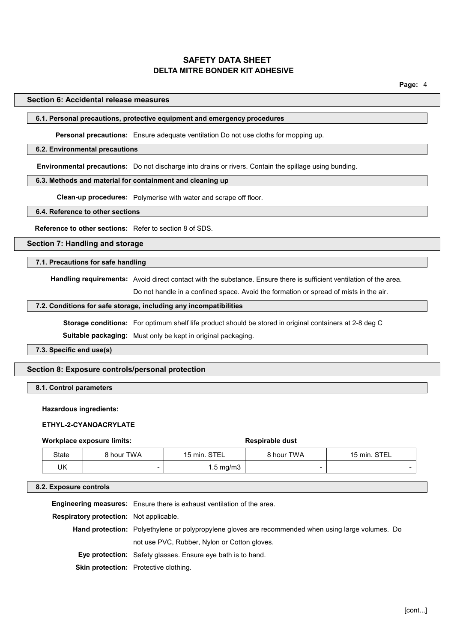## **Section 6: Accidental release measures**

# **6.1. Personal precautions, protective equipment and emergency procedures**

**Personal precautions:** Ensure adequate ventilation Do not use cloths for mopping up.

#### **6.2. Environmental precautions**

**Environmental precautions:** Do not discharge into drains or rivers. Contain the spillage using bunding.

## **6.3. Methods and material for containment and cleaning up**

**Clean-up procedures:** Polymerise with water and scrape off floor.

**6.4. Reference to other sections**

**Reference to other sections:** Refer to section 8 of SDS.

**Section 7: Handling and storage**

### **7.1. Precautions for safe handling**

**Handling requirements:** Avoid direct contact with the substance. Ensure there is sufficient ventilation of the area.

Do not handle in a confined space. Avoid the formation or spread of mists in the air.

# **7.2. Conditions for safe storage, including any incompatibilities**

**Storage conditions:** For optimum shelf life product should be stored in original containers at 2-8 deg C

**Suitable packaging:** Must only be kept in original packaging.

**7.3. Specific end use(s)**

#### **Section 8: Exposure controls/personal protection**

## **8.1. Control parameters**

# **Hazardous ingredients:**

#### **ETHYL-2-CYANOACRYLATE**

#### **Workplace exposure limits:**  $\qquad \qquad$  **Respirable** dust

| State | 8 hour TWA               | 15 min. STEL         | 8 hour TWA | 15 min. STEL |
|-------|--------------------------|----------------------|------------|--------------|
| UK    | $\overline{\phantom{a}}$ | $1.5 \text{ mg/m}$ 3 |            |              |

#### **8.2. Exposure controls**

**Engineering measures:** Ensure there is exhaust ventilation of the area.

**Respiratory protection:** Not applicable.

**Hand protection:** Polyethylene or polypropylene gloves are recommended when using large volumes. Do not use PVC, Rubber, Nylon or Cotton gloves.

**Eye protection:** Safety glasses. Ensure eye bath is to hand.

**Skin protection:** Protective clothing.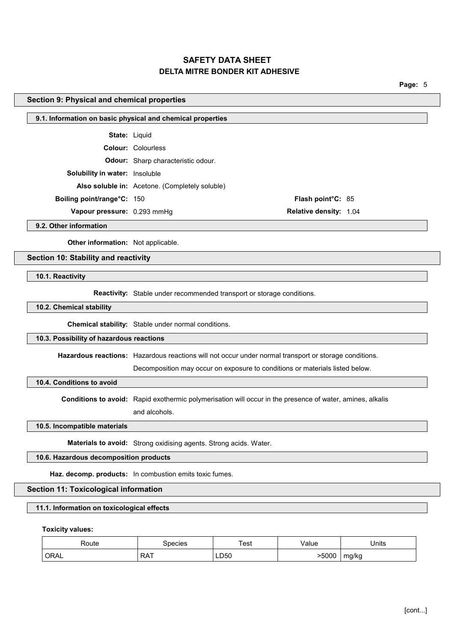**Page:** 5

### **Section 9: Physical and chemical properties**

| 9.1. Information on basic physical and chemical properties |  |
|------------------------------------------------------------|--|
|------------------------------------------------------------|--|

**State:** Liquid

**Colour:** Colourless

**Odour:** Sharp characteristic odour.

**Solubility in water:** Insoluble

**Also soluble in:** Acetone. (Completely soluble)

**Boiling point/range°C:** 150 **Flash point°C:** 85

**Vapour pressure:** 0.293 mmHg **Relative density:** 1.04

**9.2. Other information**

**Other information:** Not applicable.

### **Section 10: Stability and reactivity**

**10.1. Reactivity**

**Reactivity:** Stable under recommended transport or storage conditions.

## **10.2. Chemical stability**

**Chemical stability:** Stable under normal conditions.

# **10.3. Possibility of hazardous reactions**

**Hazardous reactions:** Hazardous reactions will not occur under normal transport or storage conditions.

Decomposition may occur on exposure to conditions or materials listed below.

**10.4. Conditions to avoid**

**Conditions to avoid:** Rapid exothermic polymerisation will occur in the presence of water, amines, alkalis and alcohols.

**10.5. Incompatible materials**

**Materials to avoid:** Strong oxidising agents. Strong acids. Water.

# **10.6. Hazardous decomposition products**

**Haz. decomp. products:** In combustion emits toxic fumes.

### **Section 11: Toxicological information**

## **11.1. Information on toxicological effects**

**Toxicity values:**

| Route | species    | Test | Value   | Units |
|-------|------------|------|---------|-------|
| ORAL  | <b>RAT</b> | LD50 | $-5000$ | mg/kg |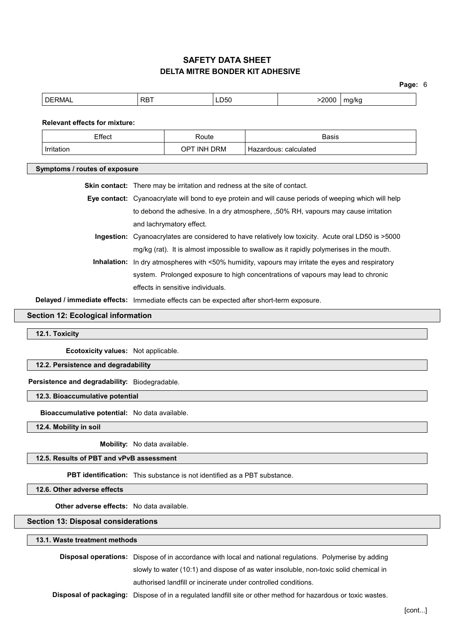|                                                                                  |                                                                                           |                    |  |                                                                                                       | Page: 6 |
|----------------------------------------------------------------------------------|-------------------------------------------------------------------------------------------|--------------------|--|-------------------------------------------------------------------------------------------------------|---------|
| <b>DERMAL</b>                                                                    | <b>RBT</b>                                                                                | LD50               |  | >2000                                                                                                 | mg/kg   |
| <b>Relevant effects for mixture:</b>                                             |                                                                                           |                    |  |                                                                                                       |         |
| Effect                                                                           |                                                                                           | Route              |  | <b>Basis</b>                                                                                          |         |
| Irritation                                                                       |                                                                                           | <b>OPT INH DRM</b> |  | Hazardous: calculated                                                                                 |         |
|                                                                                  |                                                                                           |                    |  |                                                                                                       |         |
| Symptoms / routes of exposure                                                    |                                                                                           |                    |  |                                                                                                       |         |
|                                                                                  | <b>Skin contact:</b> There may be irritation and redness at the site of contact.          |                    |  |                                                                                                       |         |
|                                                                                  |                                                                                           |                    |  | Eye contact: Cyanoacrylate will bond to eye protein and will cause periods of weeping which will help |         |
|                                                                                  |                                                                                           |                    |  | to debond the adhesive. In a dry atmosphere, ,50% RH, vapours may cause irritation                    |         |
|                                                                                  | and lachrymatory effect.                                                                  |                    |  |                                                                                                       |         |
|                                                                                  |                                                                                           |                    |  | Ingestion: Cyanoacrylates are considered to have relatively low toxicity. Acute oral LD50 is >5000    |         |
|                                                                                  |                                                                                           |                    |  | mg/kg (rat). It is almost impossible to swallow as it rapidly polymerises in the mouth.               |         |
|                                                                                  |                                                                                           |                    |  | Inhalation: In dry atmospheres with <50% humidity, vapours may irritate the eyes and respiratory      |         |
| system. Prolonged exposure to high concentrations of vapours may lead to chronic |                                                                                           |                    |  |                                                                                                       |         |
| effects in sensitive individuals.                                                |                                                                                           |                    |  |                                                                                                       |         |
|                                                                                  | Delayed / immediate effects: Immediate effects can be expected after short-term exposure. |                    |  |                                                                                                       |         |
| <b>Section 12: Ecological information</b>                                        |                                                                                           |                    |  |                                                                                                       |         |
|                                                                                  |                                                                                           |                    |  |                                                                                                       |         |
| 12.1. Toxicity                                                                   |                                                                                           |                    |  |                                                                                                       |         |
| Ecotoxicity values: Not applicable.                                              |                                                                                           |                    |  |                                                                                                       |         |
| 12.2. Persistence and degradability                                              |                                                                                           |                    |  |                                                                                                       |         |
| Persistence and degradability: Biodegradable.                                    |                                                                                           |                    |  |                                                                                                       |         |
| 12.3. Bioaccumulative potential                                                  |                                                                                           |                    |  |                                                                                                       |         |
| Bioaccumulative potential: No data available.                                    |                                                                                           |                    |  |                                                                                                       |         |
| 12.4. Mobility in soil                                                           |                                                                                           |                    |  |                                                                                                       |         |
|                                                                                  | Mobility: No data available.                                                              |                    |  |                                                                                                       |         |
| 12.5. Results of PBT and vPvB assessment                                         |                                                                                           |                    |  |                                                                                                       |         |
| <b>PBT identification:</b> This substance is not identified as a PBT substance.  |                                                                                           |                    |  |                                                                                                       |         |
| 12.6. Other adverse effects                                                      |                                                                                           |                    |  |                                                                                                       |         |

**Other adverse effects:** No data available.

# **Section 13: Disposal considerations**

**13.1. Waste treatment methods**

|  |  | <b>Disposal operations:</b> Dispose of in accordance with local and national regulations. Polymerise by adding |  |  |
|--|--|----------------------------------------------------------------------------------------------------------------|--|--|
|  |  | slowly to water (10:1) and dispose of as water insoluble, non-toxic solid chemical in                          |  |  |
|  |  | authorised landfill or incinerate under controlled conditions.                                                 |  |  |
|  |  | Disposal of packaging: Disposa of in a required landfill eito ar other method for herardous or texis weetes    |  |  |

**Disposal of packaging:** Dispose of in a regulated landfill site or other method for hazardous or toxic wastes.